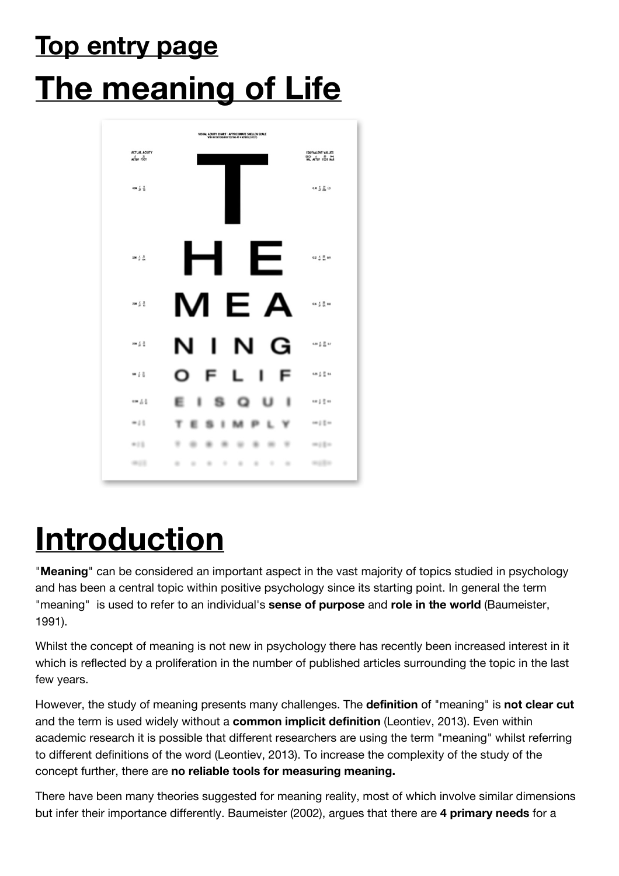## **Top entry page The meaning of Life**



## **Introduction**

"**Meaning**" can be considered an important aspect in the vast majority of topics studied in psychology and has been a central topic within positive psychology since its starting point. In general the term "meaning" is used to refer to an individual's **sense of purpose** and **role in the world** (Baumeister, 1991).

Whilst the concept of meaning is not new in psychology there has recently been increased interest in it which is reflected by a proliferation in the number of published articles surrounding the topic in the last few years.

However, the study of meaning presents many challenges. The **definition** of "meaning" is **not clear cut** and the term is used widely without a **common implicit definition** (Leontiev, 2013). Even within academic research it is possible that different researchers are using the term "meaning" whilst referring to different definitions of the word (Leontiev, 2013). To increase the complexity of the study of the concept further, there are **no reliable tools for measuring meaning.**

There have been many theories suggested for meaning reality, most of which involve similar dimensions but infer their importance differently. Baumeister (2002), argues that there are **4 primary needs** for a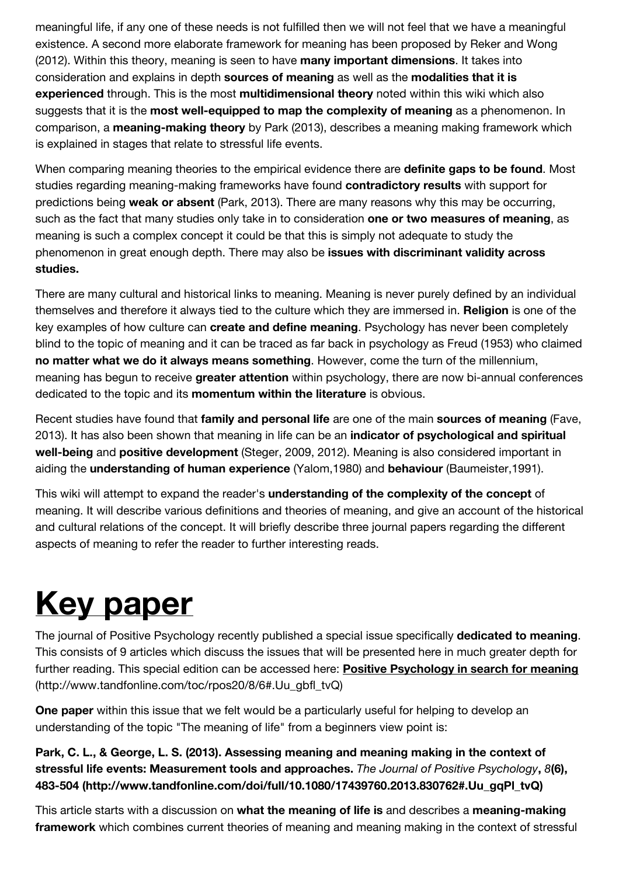meaningful life, if any one of these needs is not fulfilled then we will not feel that we have a meaningful existence. A second more elaborate framework for meaning has been proposed by Reker and Wong (2012). Within this theory, meaning is seen to have **many important dimensions**. It takes into consideration and explains in depth **sources of meaning** as well as the **modalities that it is experienced** through. This is the most **multidimensional theory** noted within this wiki which also suggests that it is the **most well-equipped to map the complexity of meaning** as a phenomenon. In comparison, a **meaning-making theory** by Park (2013), describes a meaning making framework which is explained in stages that relate to stressful life events.

When comparing meaning theories to the empirical evidence there are **definite gaps to be found**. Most studies regarding meaning-making frameworks have found **contradictory results** with support for predictions being **weak or absent** (Park, 2013). There are many reasons why this may be occurring, such as the fact that many studies only take in to consideration **one or two measures of meaning**, as meaning is such a complex concept it could be that this is simply not adequate to study the phenomenon in great enough depth. There may also be **issues with discriminant validity across studies.**

There are many cultural and historical links to meaning. Meaning is never purely defined by an individual themselves and therefore it always tied to the culture which they are immersed in. **Religion** is one of the key examples of how culture can **create and define meaning**. Psychology has never been completely blind to the topic of meaning and it can be traced as far back in psychology as Freud (1953) who claimed **no matter what we do it always means something**. However, come the turn of the millennium, meaning has begun to receive **greater attention** within psychology, there are now bi-annual conferences dedicated to the topic and its **momentum within the literature** is obvious.

Recent studies have found that **family and personal life** are one of the main **sources of meaning** (Fave, 2013). It has also been shown that meaning in life can be an **indicator of psychological and spiritual well-being** and **positive development** (Steger, 2009, 2012). Meaning is also considered important in aiding the **understanding of human experience** (Yalom,1980) and **behaviour** (Baumeister,1991).

This wiki will attempt to expand the reader's **understanding of the complexity of the concept** of meaning. It will describe various definitions and theories of meaning, and give an account of the historical and cultural relations of the concept. It will briefly describe three journal papers regarding the different aspects of meaning to refer the reader to further interesting reads.

# **Key paper**

The journal of Positive Psychology recently published a special issue specifically **dedicated to meaning**. This consists of 9 articles which discuss the issues that will be presented here in much greater depth for [further reading. This special edition can be accessed here:](http://www.tandfonline.com/toc/rpos20/8/6#.Uu_gbfl_tvQ) **Positive Psychology in search for meaning** (http://www.tandfonline.com/toc/rpos20/8/6#.Uu\_gbfl\_tvQ)

**One paper** within this issue that we felt would be a particularly useful for helping to develop an understanding of the topic "The meaning of life" from a beginners view point is:

**[Park, C. L., & George, L. S. \(2013\). Assessing meaning and meaning making in the context of](http://www.tandfonline.com/doi/full/10.1080/17439760.2013.830762#.Uu_gqPl_tvQ) stressful life events: Measurement tools and approaches.** *The Journal of Positive Psychology***,** *8***(6), 483-504 (http://www.tandfonline.com/doi/full/10.1080/17439760.2013.830762#.Uu\_gqPl\_tvQ)** 

This article starts with a discussion on **what the meaning of life is** and describes a **meaning-making framework** which combines current theories of meaning and meaning making in the context of stressful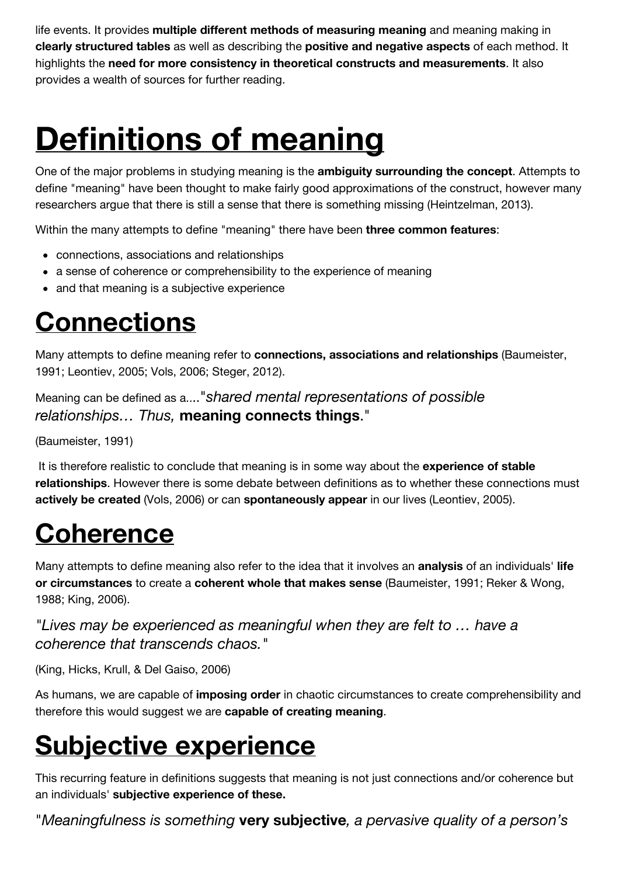life events. It provides **multiple different methods of measuring meaning** and meaning making in **clearly structured tables** as well as describing the **positive and negative aspects** of each method. It highlights the **need for more consistency in theoretical constructs and measurements**. It also provides a wealth of sources for further reading.

## **Definitions of meaning**

One of the major problems in studying meaning is the **ambiguity surrounding the concept**. Attempts to define "meaning" have been thought to make fairly good approximations of the construct, however many researchers argue that there is still a sense that there is something missing (Heintzelman, 2013).

Within the many attempts to define "meaning" there have been **three common features**:

- connections, associations and relationships
- a sense of coherence or comprehensibility to the experience of meaning
- and that meaning is a subjective experience

### **Connections**

Many attempts to define meaning refer to **connections, associations and relationships** (Baumeister, 1991; Leontiev, 2005; Vols, 2006; Steger, 2012).

Meaning can be defined as a...."*shared mental representations of possible relationships… Thus,* **meaning connects things**."

(Baumeister, 1991)

 It is therefore realistic to conclude that meaning is in some way about the **experience of stable relationships**. However there is some debate between definitions as to whether these connections must **actively be created** (Vols, 2006) or can **spontaneously appear** in our lives (Leontiev, 2005).

### **Coherence**

Many attempts to define meaning also refer to the idea that it involves an **analysis** of an individuals' **life or circumstances** to create a **coherent whole that makes sense** (Baumeister, 1991; Reker & Wong, 1988; King, 2006).

*"Lives may be experienced as meaningful when they are felt to … have a coherence that transcends chaos."*

(King, Hicks, Krull, & Del Gaiso, 2006)

As humans, we are capable of **imposing order** in chaotic circumstances to create comprehensibility and therefore this would suggest we are **capable of creating meaning**.

## **Subjective experience**

This recurring feature in definitions suggests that meaning is not just connections and/or coherence but an individuals' **subjective experience of these.**

"*Meaningfulness is something* **very subjective***, a pervasive quality of a person's*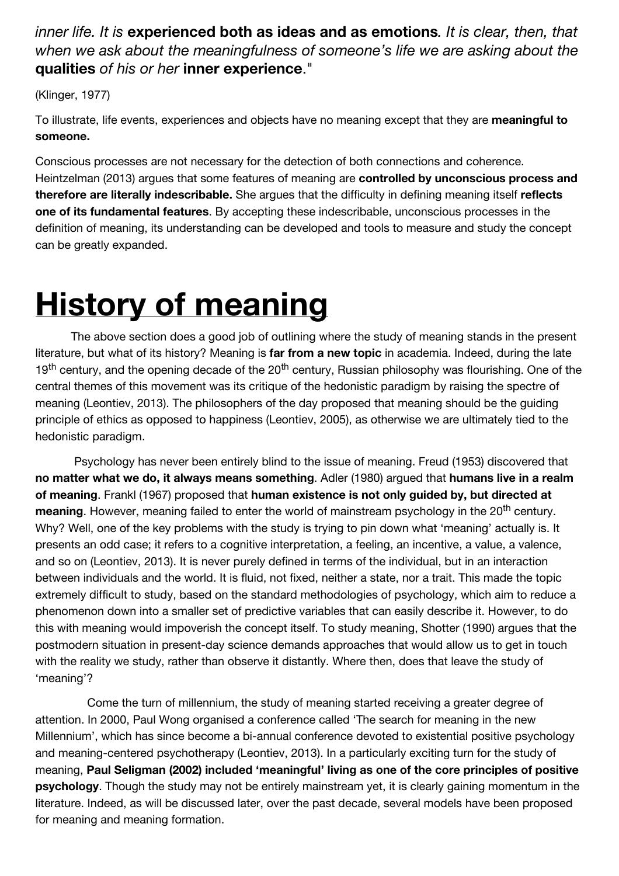#### *inner life. It is* **experienced both as ideas and as emotions***. It is clear, then, that when we ask about the meaningfulness of someone's life we are asking about the* **qualities** *of his or her* **inner experience**."

(Klinger, 1977)

To illustrate, life events, experiences and objects have no meaning except that they are **meaningful to someone.** 

Conscious processes are not necessary for the detection of both connections and coherence. Heintzelman (2013) argues that some features of meaning are **controlled by unconscious process and therefore are literally indescribable.** She argues that the difficulty in defining meaning itself **reflects one of its fundamental features**. By accepting these indescribable, unconscious processes in the definition of meaning, its understanding can be developed and tools to measure and study the concept can be greatly expanded.

## **History of meaning**

 The above section does a good job of outlining where the study of meaning stands in the present literature, but what of its history? Meaning is **far from a new topic** in academia. Indeed, during the late 19<sup>th</sup> century, and the opening decade of the 20<sup>th</sup> century, Russian philosophy was flourishing. One of the central themes of this movement was its critique of the hedonistic paradigm by raising the spectre of meaning (Leontiev, 2013). The philosophers of the day proposed that meaning should be the guiding principle of ethics as opposed to happiness (Leontiev, 2005), as otherwise we are ultimately tied to the hedonistic paradigm.

 Psychology has never been entirely blind to the issue of meaning. Freud (1953) discovered that **no matter what we do, it always means something**. Adler (1980) argued that **humans live in a realm of meaning**. Frankl (1967) proposed that **human existence is not only guided by, but directed at** meaning. However, meaning failed to enter the world of mainstream psychology in the 20<sup>th</sup> century. Why? Well, one of the key problems with the study is trying to pin down what 'meaning' actually is. It presents an odd case; it refers to a cognitive interpretation, a feeling, an incentive, a value, a valence, and so on (Leontiev, 2013). It is never purely defined in terms of the individual, but in an interaction between individuals and the world. It is fluid, not fixed, neither a state, nor a trait. This made the topic extremely difficult to study, based on the standard methodologies of psychology, which aim to reduce a phenomenon down into a smaller set of predictive variables that can easily describe it. However, to do this with meaning would impoverish the concept itself. To study meaning, Shotter (1990) argues that the postmodern situation in present-day science demands approaches that would allow us to get in touch with the reality we study, rather than observe it distantly. Where then, does that leave the study of 'meaning'?

 Come the turn of millennium, the study of meaning started receiving a greater degree of attention. In 2000, Paul Wong organised a conference called 'The search for meaning in the new Millennium', which has since become a bi-annual conference devoted to existential positive psychology and meaning-centered psychotherapy (Leontiev, 2013). In a particularly exciting turn for the study of meaning, **Paul Seligman (2002) included 'meaningful' living as one of the core principles of positive psychology**. Though the study may not be entirely mainstream yet, it is clearly gaining momentum in the literature. Indeed, as will be discussed later, over the past decade, several models have been proposed for meaning and meaning formation.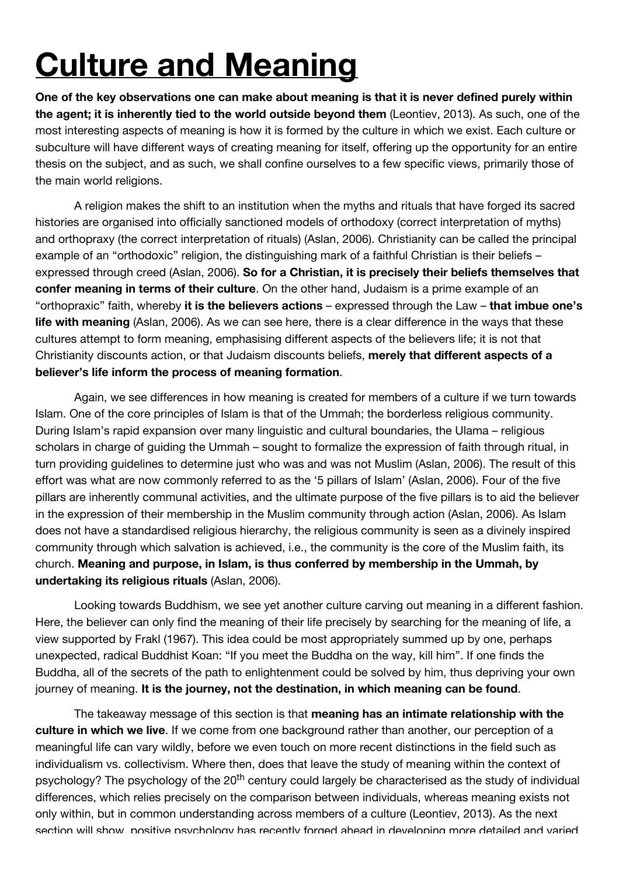## **Culture and Meaning**

**One of the key observations one can make about meaning is that it is never defined purely within the agent; it is inherently tied to the world outside beyond them** (Leontiev, 2013). As such, one of the most interesting aspects of meaning is how it is formed by the culture in which we exist. Each culture or subculture will have different ways of creating meaning for itself, offering up the opportunity for an entire thesis on the subject, and as such, we shall confine ourselves to a few specific views, primarily those of the main world religions.

 A religion makes the shift to an institution when the myths and rituals that have forged its sacred histories are organised into officially sanctioned models of orthodoxy (correct interpretation of myths) and orthopraxy (the correct interpretation of rituals) (Aslan, 2006). Christianity can be called the principal example of an "orthodoxic" religion, the distinguishing mark of a faithful Christian is their beliefs expressed through creed (Aslan, 2006). **So for a Christian, it is precisely their beliefs themselves that confer meaning in terms of their culture**. On the other hand, Judaism is a prime example of an "orthopraxic" faith, whereby **it is the believers actions** – expressed through the Law – **that imbue one's life with meaning** (Aslan, 2006). As we can see here, there is a clear difference in the ways that these cultures attempt to form meaning, emphasising different aspects of the believers life; it is not that Christianity discounts action, or that Judaism discounts beliefs, **merely that different aspects of a believer's life inform the process of meaning formation**.

 Again, we see differences in how meaning is created for members of a culture if we turn towards Islam. One of the core principles of Islam is that of the Ummah; the borderless religious community. During Islam's rapid expansion over many linguistic and cultural boundaries, the Ulama – religious scholars in charge of guiding the Ummah – sought to formalize the expression of faith through ritual, in turn providing guidelines to determine just who was and was not Muslim (Aslan, 2006). The result of this effort was what are now commonly referred to as the '5 pillars of Islam' (Aslan, 2006). Four of the five pillars are inherently communal activities, and the ultimate purpose of the five pillars is to aid the believer in the expression of their membership in the Muslim community through action (Aslan, 2006). As Islam does not have a standardised religious hierarchy, the religious community is seen as a divinely inspired community through which salvation is achieved, i.e., the community is the core of the Muslim faith, its church. **Meaning and purpose, in Islam, is thus conferred by membership in the Ummah, by undertaking its religious rituals** (Aslan, 2006).

 Looking towards Buddhism, we see yet another culture carving out meaning in a different fashion. Here, the believer can only find the meaning of their life precisely by searching for the meaning of life, a view supported by Frakl (1967). This idea could be most appropriately summed up by one, perhaps unexpected, radical Buddhist Koan: "If you meet the Buddha on the way, kill him". If one finds the Buddha, all of the secrets of the path to enlightenment could be solved by him, thus depriving your own journey of meaning. **It is the journey, not the destination, in which meaning can be found**.

 The takeaway message of this section is that **meaning has an intimate relationship with the culture in which we live**. If we come from one background rather than another, our perception of a meaningful life can vary wildly, before we even touch on more recent distinctions in the field such as individualism vs. collectivism. Where then, does that leave the study of meaning within the context of psychology? The psychology of the 20<sup>th</sup> century could largely be characterised as the study of individual differences, which relies precisely on the comparison between individuals, whereas meaning exists not only within, but in common understanding across members of a culture (Leontiev, 2013). As the next section will show, positive psychology has recently forged ahead in developing more detailed and varied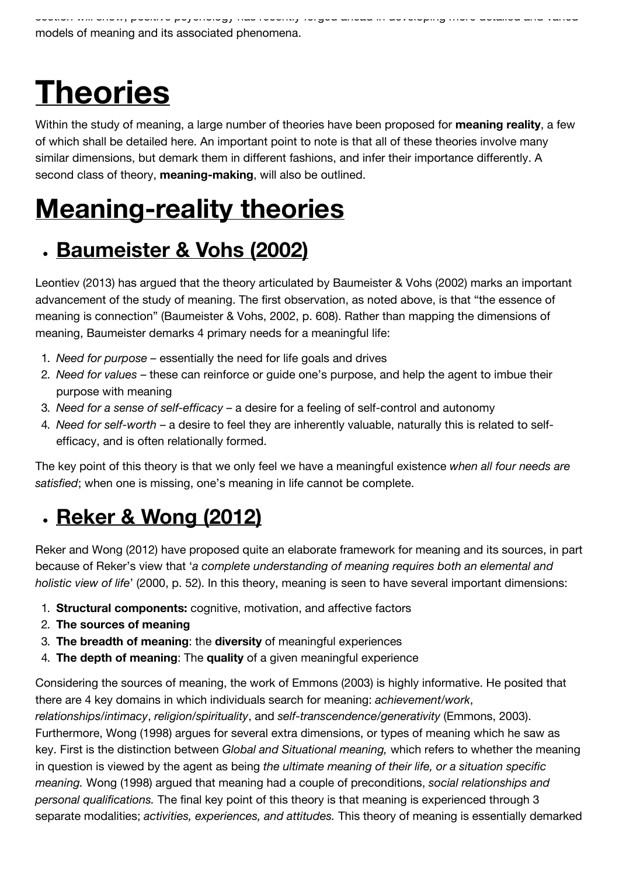# **Theories**

Within the study of meaning, a large number of theories have been proposed for **meaning reality**, a few of which shall be detailed here. An important point to note is that all of these theories involve many similar dimensions, but demark them in different fashions, and infer their importance differently. A second class of theory, **meaning-making**, will also be outlined.

### **Meaning-reality theories**

### **Baumeister & Vohs (2002)**

Leontiev (2013) has argued that the theory articulated by Baumeister & Vohs (2002) marks an important advancement of the study of meaning. The first observation, as noted above, is that "the essence of meaning is connection" (Baumeister & Vohs, 2002, p. 608). Rather than mapping the dimensions of meaning, Baumeister demarks 4 primary needs for a meaningful life:

- 1. *Need for purpose* essentially the need for life goals and drives
- 2. *Need for values*  these can reinforce or guide one's purpose, and help the agent to imbue their purpose with meaning
- 3. *Need for a sense of self-efficacy*  a desire for a feeling of self-control and autonomy
- 4. *Need for self-worth*  a desire to feel they are inherently valuable, naturally this is related to selfefficacy, and is often relationally formed.

The key point of this theory is that we only feel we have a meaningful existence *when all four needs are satisfied*; when one is missing, one's meaning in life cannot be complete.

### **Reker & Wong (2012)**

Reker and Wong (2012) have proposed quite an elaborate framework for meaning and its sources, in part because of Reker's view that '*a complete understanding of meaning requires both an elemental and holistic view of life*' (2000, p. 52). In this theory, meaning is seen to have several important dimensions:

- 1. **Structural components:** cognitive, motivation, and affective factors
- 2. **The sources of meaning**
- 3. **The breadth of meaning**: the **diversity** of meaningful experiences
- 4. **The depth of meaning**: The **quality** of a given meaningful experience

Considering the sources of meaning, the work of Emmons (2003) is highly informative. He posited that there are 4 key domains in which individuals search for meaning: *achievement/work*, *relationships/intimacy*, *religion/spirituality*, and *self-transcendence/generativity* (Emmons, 2003). Furthermore, Wong (1998) argues for several extra dimensions, or types of meaning which he saw as key. First is the distinction between *Global and Situational meaning,* which refers to whether the meaning in question is viewed by the agent as being *the ultimate meaning of their life, or a situation specific meaning.* Wong (1998) argued that meaning had a couple of preconditions, *social relationships and personal qualifications.* The final key point of this theory is that meaning is experienced through 3 separate modalities; *activities, experiences, and attitudes.* This theory of meaning is essentially demarked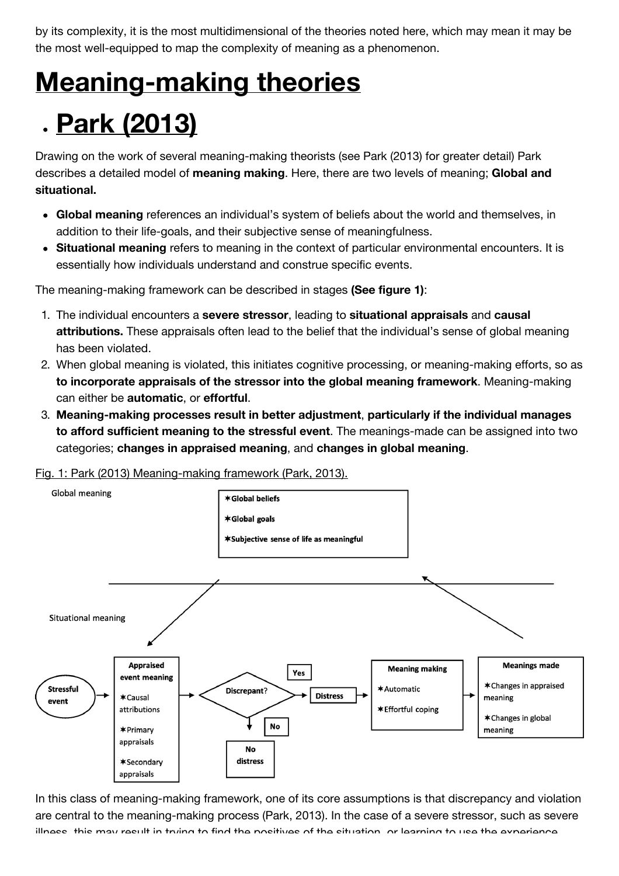by its complexity, it is the most multidimensional of the theories noted here, which may mean it may be the most well-equipped to map the complexity of meaning as a phenomenon.

### **Meaning-making theories**

### **Park (2013)**

Drawing on the work of several meaning-making theorists (see Park (2013) for greater detail) Park describes a detailed model of **meaning making**. Here, there are two levels of meaning; **Global and situational.**

- **Global meaning** references an individual's system of beliefs about the world and themselves, in addition to their life-goals, and their subjective sense of meaningfulness.
- **Situational meaning** refers to meaning in the context of particular environmental encounters. It is essentially how individuals understand and construe specific events.

The meaning-making framework can be described in stages **(See figure 1)**:

- 1. The individual encounters a **severe stressor**, leading to **situational appraisals** and **causal attributions.** These appraisals often lead to the belief that the individual's sense of global meaning has been violated.
- 2. When global meaning is violated, this initiates cognitive processing, or meaning-making efforts, so as **to incorporate appraisals of the stressor into the global meaning framework**. Meaning-making can either be **automatic**, or **effortful**.
- 3. **Meaning-making processes result in better adjustment**, **particularly if the individual manages to afford sufficient meaning to the stressful event**. The meanings-made can be assigned into two categories; **changes in appraised meaning**, and **changes in global meaning**.

Fig. 1: Park (2013) Meaning-making framework (Park, 2013).



In this class of meaning-making framework, one of its core assumptions is that discrepancy and violation are central to the meaning-making process (Park, 2013). In the case of a severe stressor, such as severe illness, this may result in trying to find the positives of the situation, or learning to use the experience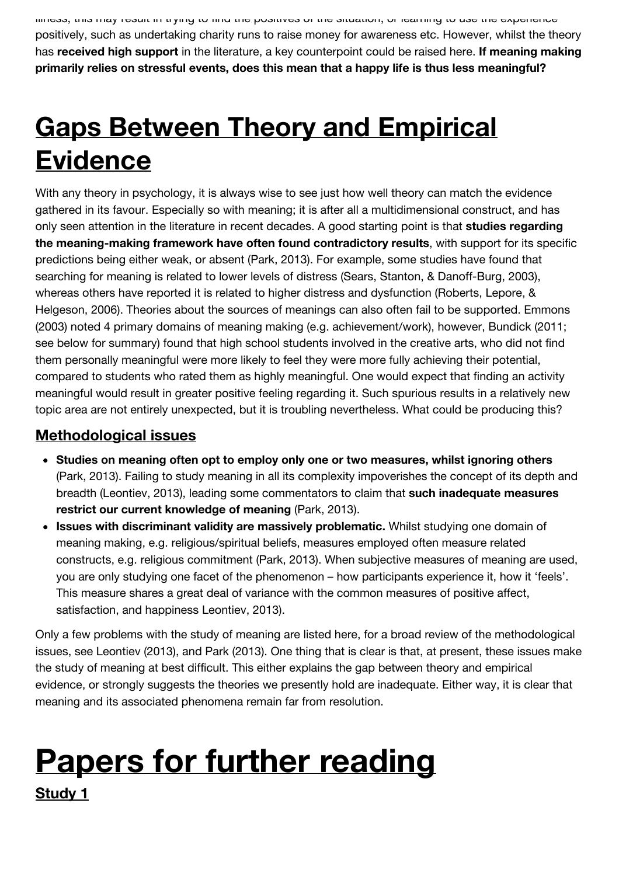illness, this may result in trying to find the positives of the situation, or learning to use the experience positively, such as undertaking charity runs to raise money for awareness etc. However, whilst the theory has **received high support** in the literature, a key counterpoint could be raised here. **If meaning making primarily relies on stressful events, does this mean that a happy life is thus less meaningful?**

## **Gaps Between Theory and Empirical Evidence**

With any theory in psychology, it is always wise to see just how well theory can match the evidence gathered in its favour. Especially so with meaning; it is after all a multidimensional construct, and has only seen attention in the literature in recent decades. A good starting point is that **studies regarding the meaning-making framework have often found contradictory results**, with support for its specific predictions being either weak, or absent (Park, 2013). For example, some studies have found that searching for meaning is related to lower levels of distress (Sears, Stanton, & Danoff-Burg, 2003), whereas others have reported it is related to higher distress and dysfunction (Roberts, Lepore, & Helgeson, 2006). Theories about the sources of meanings can also often fail to be supported. Emmons (2003) noted 4 primary domains of meaning making (e.g. achievement/work), however, Bundick (2011; see below for summary) found that high school students involved in the creative arts, who did not find them personally meaningful were more likely to feel they were more fully achieving their potential, compared to students who rated them as highly meaningful. One would expect that finding an activity meaningful would result in greater positive feeling regarding it. Such spurious results in a relatively new topic area are not entirely unexpected, but it is troubling nevertheless. What could be producing this?

#### **Methodological issues**

- **Studies on meaning often opt to employ only one or two measures, whilst ignoring others** (Park, 2013). Failing to study meaning in all its complexity impoverishes the concept of its depth and breadth (Leontiev, 2013), leading some commentators to claim that **such inadequate measures restrict our current knowledge of meaning** (Park, 2013).
- **Issues with discriminant validity are massively problematic.** Whilst studying one domain of meaning making, e.g. religious/spiritual beliefs, measures employed often measure related constructs, e.g. religious commitment (Park, 2013). When subjective measures of meaning are used, you are only studying one facet of the phenomenon – how participants experience it, how it 'feels'. This measure shares a great deal of variance with the common measures of positive affect, satisfaction, and happiness Leontiev, 2013).

Only a few problems with the study of meaning are listed here, for a broad review of the methodological issues, see Leontiev (2013), and Park (2013). One thing that is clear is that, at present, these issues make the study of meaning at best difficult. This either explains the gap between theory and empirical evidence, or strongly suggests the theories we presently hold are inadequate. Either way, it is clear that meaning and its associated phenomena remain far from resolution.

## **Papers for further reading**

**Study 1**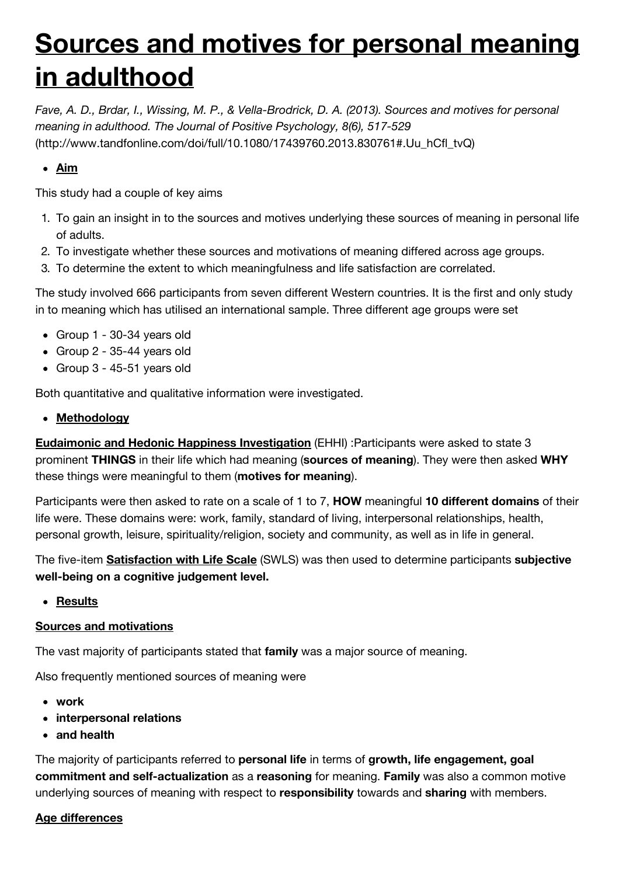### **Sources and motives for personal meaning in adulthood**

*[Fave, A. D., Brdar, I., Wissing, M. P., & Vella-Brodrick, D. A. \(2013\). Sources and motives for personal](http://www.tandfonline.com/doi/full/10.1080/17439760.2013.830761#.Uu_hCfl_tvQ) meaning in adulthood. The Journal of Positive Psychology, 8(6), 517-529* (http://www.tandfonline.com/doi/full/10.1080/17439760.2013.830761#.Uu\_hCfl\_tvQ)

#### **Aim**

This study had a couple of key aims

- 1. To gain an insight in to the sources and motives underlying these sources of meaning in personal life of adults.
- 2. To investigate whether these sources and motivations of meaning differed across age groups.
- 3. To determine the extent to which meaningfulness and life satisfaction are correlated.

The study involved 666 participants from seven different Western countries. It is the first and only study in to meaning which has utilised an international sample. Three different age groups were set

- Group 1 30-34 years old
- Group 2 35-44 years old
- Group 3 45-51 years old

Both quantitative and qualitative information were investigated.

**Methodology**

**Eudaimonic and Hedonic Happiness Investigation** (EHHI) :Participants were asked to state 3 prominent **THINGS** in their life which had meaning (**sources of meaning**). They were then asked **WHY** these things were meaningful to them (**motives for meaning**).

Participants were then asked to rate on a scale of 1 to 7, **HOW** meaningful **10 different domains** of their life were. These domains were: work, family, standard of living, interpersonal relationships, health, personal growth, leisure, spirituality/religion, society and community, as well as in life in general.

The five-item **Satisfaction with Life Scale** (SWLS) was then used to determine participants **subjective well-being on a cognitive judgement level.**

**Results**

#### **Sources and motivations**

The vast majority of participants stated that **family** was a major source of meaning.

Also frequently mentioned sources of meaning were

- **work**
- **interpersonal relations**
- **and health**

The majority of participants referred to **personal life** in terms of **growth, life engagement, goal commitment and self-actualization** as a **reasoning** for meaning. **Family** was also a common motive underlying sources of meaning with respect to **responsibility** towards and **sharing** with members.

#### **Age differences**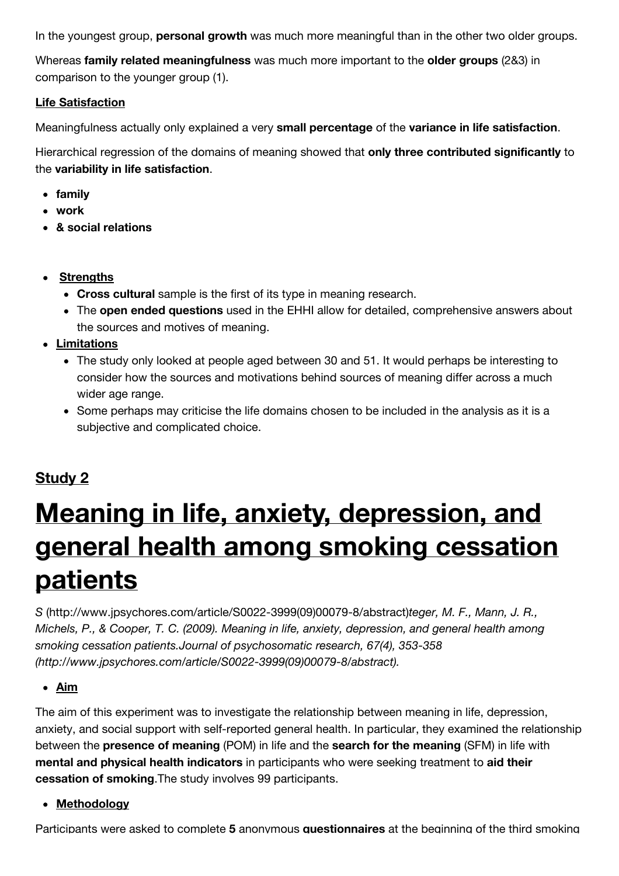In the youngest group, **personal growth** was much more meaningful than in the other two older groups.

Whereas **family related meaningfulness** was much more important to the **older groups** (2&3) in comparison to the younger group (1).

#### **Life Satisfaction**

Meaningfulness actually only explained a very **small percentage** of the **variance in life satisfaction**.

Hierarchical regression of the domains of meaning showed that **only three contributed significantly** to the **variability in life satisfaction**.

- **family**
- **work**
- **& social relations**
- **Strengths**
	- **Cross cultural** sample is the first of its type in meaning research.
	- The **open ended questions** used in the EHHI allow for detailed, comprehensive answers about the sources and motives of meaning.
- **Limitations**
	- The study only looked at people aged between 30 and 51. It would perhaps be interesting to consider how the sources and motivations behind sources of meaning differ across a much wider age range.
	- Some perhaps may criticise the life domains chosen to be included in the analysis as it is a subjective and complicated choice.

#### **Study 2**

### **Meaning in life, anxiety, depression, and general health among smoking cessation patients**

*S* [\(http://www.jpsychores.com/article/S0022-3999\(09\)00079-8/abstract\)](http://www.jpsychores.com/article/S0022-3999(09)00079-8/abstract)*teger, M. F., Mann, J. R., [Michels, P., & Cooper, T. C. \(2009\). Meaning in life, anxiety, depression, and general health among](http://www.jpsychores.com/article/S0022-3999(09)00079-8/abstract) smoking cessation patients.Journal of psychosomatic research, 67(4), 353-358 (http://www.jpsychores.com/article/S0022-3999(09)00079-8/abstract).*

#### **Aim**

The aim of this experiment was to investigate the relationship between meaning in life, depression, anxiety, and social support with self-reported general health. In particular, they examined the relationship between the **presence of meaning** (POM) in life and the **search for the meaning** (SFM) in life with **mental and physical health indicators** in participants who were seeking treatment to **aid their cessation of smoking**.The study involves 99 participants.

#### **Methodology**

Participants were asked to complete **5** anonymous **questionnaires** at the beginning of the third smoking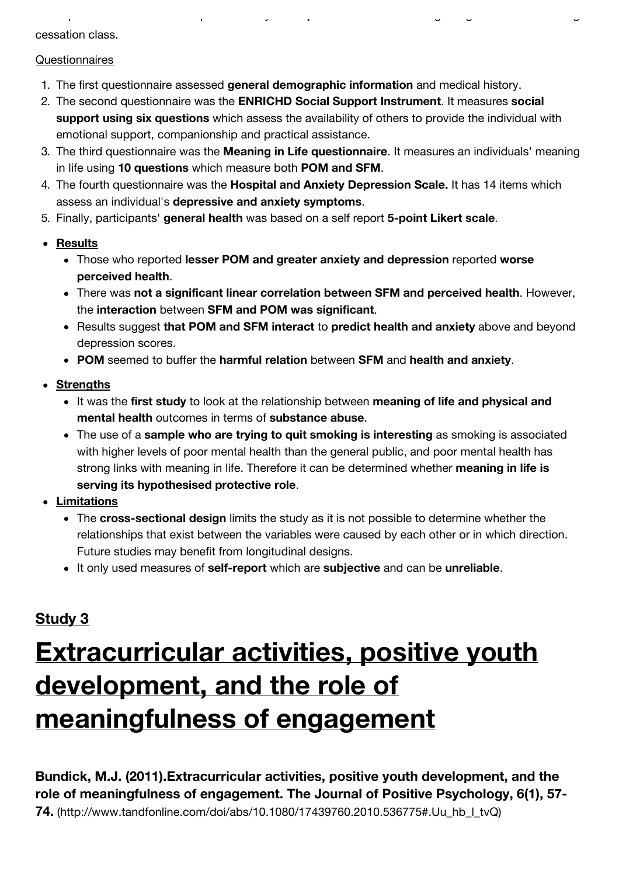cessation class.

#### **Questionnaires**

- 1. The first questionnaire assessed **general demographic information** and medical history.
- 2. The second questionnaire was the **ENRICHD Social Support Instrument**. It measures **social support using six questions** which assess the availability of others to provide the individual with emotional support, companionship and practical assistance.

Participants were asked to complete **5** anonymous **questionnaires** at the beginning of the third smoking

- 3. The third questionnaire was the **Meaning in Life questionnaire**. It measures an individuals' meaning in life using **10 questions** which measure both **POM and SFM**.
- 4. The fourth questionnaire was the **Hospital and Anxiety Depression Scale.** It has 14 items which assess an individual's **depressive and anxiety symptoms**.
- 5. Finally, participants' **general health** was based on a self report **5-point Likert scale**.
- **Results**
	- Those who reported **lesser POM and greater anxiety and depression** reported **worse perceived health**.
	- There was **not a significant linear correlation between SFM and perceived health**. However, the **interaction** between **SFM and POM was significant**.
	- Results suggest **that POM and SFM interact** to **predict health and anxiety** above and beyond depression scores.
	- **POM** seemed to buffer the **harmful relation** between **SFM** and **health and anxiety**.
- **Strengths**
	- It was the **first study** to look at the relationship between **meaning of life and physical and mental health** outcomes in terms of **substance abuse**.
	- The use of a **sample who are trying to quit smoking is interesting** as smoking is associated with higher levels of poor mental health than the general public, and poor mental health has strong links with meaning in life. Therefore it can be determined whether **meaning in life is serving its hypothesised protective role**.
- **Limitations**
	- The **cross-sectional design** limits the study as it is not possible to determine whether the relationships that exist between the variables were caused by each other or in which direction. Future studies may benefit from longitudinal designs.
	- It only used measures of **self-report** which are **subjective** and can be **unreliable**.

#### **Study 3**

## **Extracurricular activities, positive youth development, and the role of meaningfulness of engagement**

**Bundick, M.J. (2011).Extracurricular activities, positive youth development, and the [role of meaningfulness of engagement. The Journal of Positive Psychology, 6\(1\), 57-](http://www.tandfonline.com/doi/abs/10.1080/17439760.2010.536775#.Uu_hb_l_tvQ) 74.** (http://www.tandfonline.com/doi/abs/10.1080/17439760.2010.536775#.Uu\_hb\_l\_tvQ)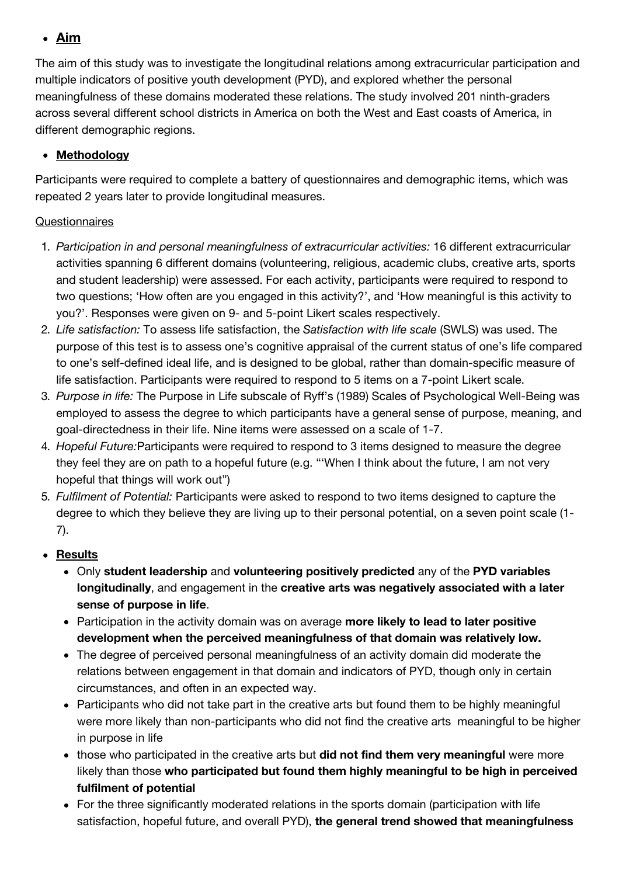#### **Aim**

The aim of this study was to investigate the longitudinal relations among extracurricular participation and multiple indicators of positive youth development (PYD), and explored whether the personal meaningfulness of these domains moderated these relations. The study involved 201 ninth-graders across several different school districts in America on both the West and East coasts of America, in different demographic regions.

#### **Methodology**

Participants were required to complete a battery of questionnaires and demographic items, which was repeated 2 years later to provide longitudinal measures.

#### **Questionnaires**

- 1. *Participation in and personal meaningfulness of extracurricular activities:* 16 different extracurricular activities spanning 6 different domains (volunteering, religious, academic clubs, creative arts, sports and student leadership) were assessed. For each activity, participants were required to respond to two questions; 'How often are you engaged in this activity?', and 'How meaningful is this activity to you?'. Responses were given on 9- and 5-point Likert scales respectively.
- 2. *Life satisfaction:* To assess life satisfaction, the *Satisfaction with life scale* (SWLS) was used. The purpose of this test is to assess one's cognitive appraisal of the current status of one's life compared to one's self-defined ideal life, and is designed to be global, rather than domain-specific measure of life satisfaction. Participants were required to respond to 5 items on a 7-point Likert scale.
- 3. *Purpose in life:* The Purpose in Life subscale of Ryff's (1989) Scales of Psychological Well-Being was employed to assess the degree to which participants have a general sense of purpose, meaning, and goal-directedness in their life. Nine items were assessed on a scale of 1-7.
- 4. *Hopeful Future:*Participants were required to respond to 3 items designed to measure the degree they feel they are on path to a hopeful future (e.g. "'When I think about the future, I am not very hopeful that things will work out")
- 5. *Fulfilment of Potential:* Participants were asked to respond to two items designed to capture the degree to which they believe they are living up to their personal potential, on a seven point scale (1- 7).

#### **Results**

- Only **student leadership** and **volunteering positively predicted** any of the **PYD variables longitudinally**, and engagement in the **creative arts was negatively associated with a later sense of purpose in life**.
- Participation in the activity domain was on average **more likely to lead to later positive development when the perceived meaningfulness of that domain was relatively low.**
- The degree of perceived personal meaningfulness of an activity domain did moderate the relations between engagement in that domain and indicators of PYD, though only in certain circumstances, and often in an expected way.
- Participants who did not take part in the creative arts but found them to be highly meaningful were more likely than non-participants who did not find the creative arts meaningful to be higher in purpose in life
- those who participated in the creative arts but **did not find them very meaningful** were more likely than those **who participated but found them highly meaningful to be high in perceived fulfilment of potential**
- For the three significantly moderated relations in the sports domain (participation with life satisfaction, hopeful future, and overall PYD), **the general trend showed that meaningfulness**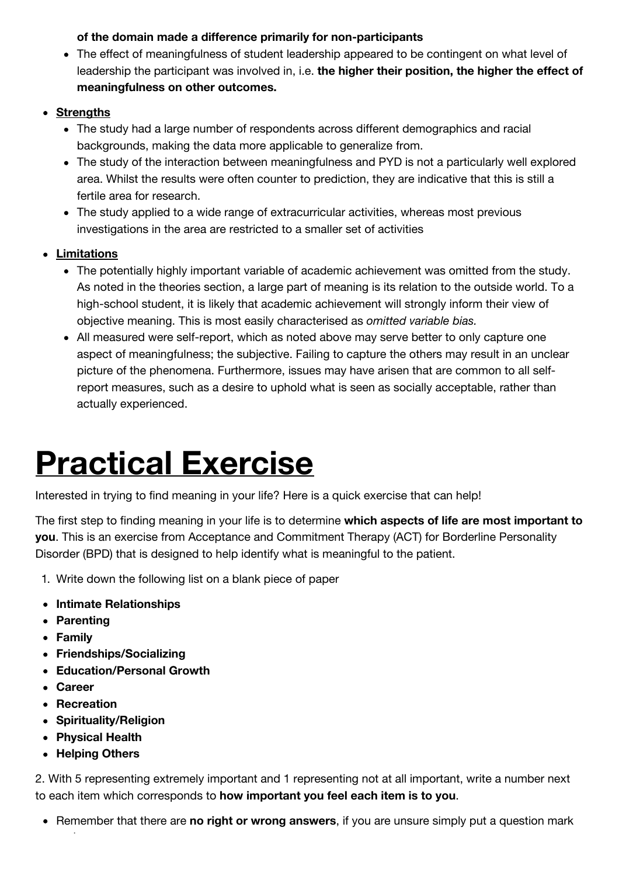#### **of the domain made a difference primarily for non-participants**

- The effect of meaningfulness of student leadership appeared to be contingent on what level of leadership the participant was involved in, i.e. **the higher their position, the higher the effect of meaningfulness on other outcomes.**
- **Strengths**
	- The study had a large number of respondents across different demographics and racial backgrounds, making the data more applicable to generalize from.
	- The study of the interaction between meaningfulness and PYD is not a particularly well explored area. Whilst the results were often counter to prediction, they are indicative that this is still a fertile area for research.
	- The study applied to a wide range of extracurricular activities, whereas most previous investigations in the area are restricted to a smaller set of activities
- **Limitations**
	- The potentially highly important variable of academic achievement was omitted from the study. As noted in the theories section, a large part of meaning is its relation to the outside world. To a high-school student, it is likely that academic achievement will strongly inform their view of objective meaning. This is most easily characterised as *omitted variable bias.*
	- All measured were self-report, which as noted above may serve better to only capture one aspect of meaningfulness; the subjective. Failing to capture the others may result in an unclear picture of the phenomena. Furthermore, issues may have arisen that are common to all selfreport measures, such as a desire to uphold what is seen as socially acceptable, rather than actually experienced.

## **Practical Exercise**

Interested in trying to find meaning in your life? Here is a quick exercise that can help!

The first step to finding meaning in your life is to determine **which aspects of life are most important to you**. This is an exercise from Acceptance and Commitment Therapy (ACT) for Borderline Personality Disorder (BPD) that is designed to help identify what is meaningful to the patient.

- 1. Write down the following list on a blank piece of paper
- **Intimate Relationships**
- **Parenting**
- **Family**
- **Friendships/Socializing**
- **Education/Personal Growth**
- **Career**
- **Recreation**
- **Spirituality/Religion**
- **Physical Health**
- **Helping Others**

and move on.

2. With 5 representing extremely important and 1 representing not at all important, write a number next to each item which corresponds to **how important you feel each item is to you**.

• Remember that there are **no right or wrong answers**, if you are unsure simply put a question mark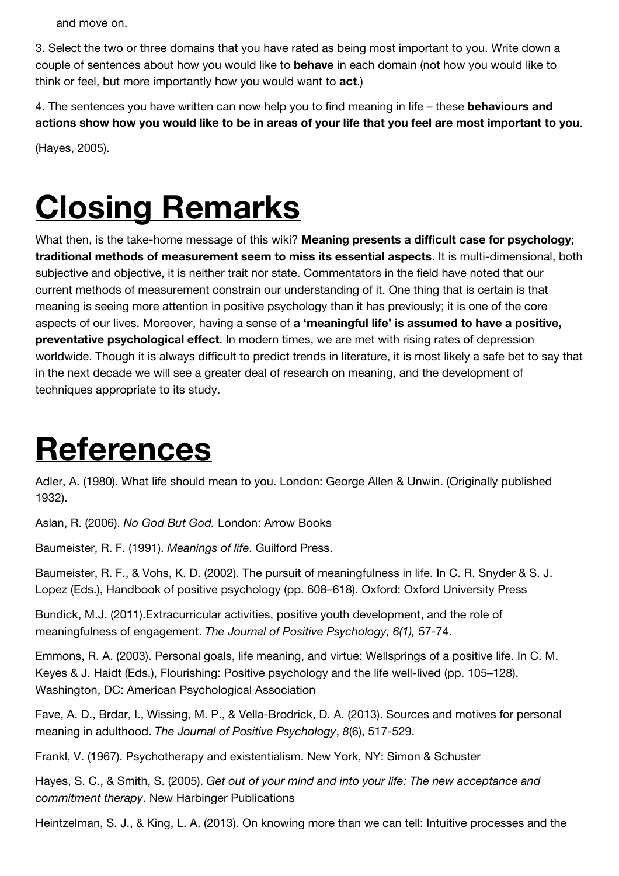and move on.

3. Select the two or three domains that you have rated as being most important to you. Write down a couple of sentences about how you would like to **behave** in each domain (not how you would like to think or feel, but more importantly how you would want to **act**.)

4. The sentences you have written can now help you to find meaning in life – these **behaviours and actions show how you would like to be in areas of your life that you feel are most important to you**.

(Hayes, 2005).

## **Closing Remarks**

What then, is the take-home message of this wiki? **Meaning presents a difficult case for psychology; traditional methods of measurement seem to miss its essential aspects**. It is multi-dimensional, both subjective and objective, it is neither trait nor state. Commentators in the field have noted that our current methods of measurement constrain our understanding of it. One thing that is certain is that meaning is seeing more attention in positive psychology than it has previously; it is one of the core aspects of our lives. Moreover, having a sense of **a 'meaningful life' is assumed to have a positive, preventative psychological effect**. In modern times, we are met with rising rates of depression worldwide. Though it is always difficult to predict trends in literature, it is most likely a safe bet to say that in the next decade we will see a greater deal of research on meaning, and the development of techniques appropriate to its study.

## **References**

Adler, A. (1980). What life should mean to you. London: George Allen & Unwin. (Originally published 1932).

Aslan, R. (2006). *No God But God.* London: Arrow Books

Baumeister, R. F. (1991). *Meanings of life*. Guilford Press.

Baumeister, R. F., & Vohs, K. D. (2002). The pursuit of meaningfulness in life. In C. R. Snyder & S. J. Lopez (Eds.), Handbook of positive psychology (pp. 608–618). Oxford: Oxford University Press

Bundick, M.J. (2011).Extracurricular activities, positive youth development, and the role of meaningfulness of engagement. *The Journal of Positive Psychology, 6(1),* 57-74.

Emmons, R. A. (2003). Personal goals, life meaning, and virtue: Wellsprings of a positive life. In C. M. Keyes & J. Haidt (Eds.), Flourishing: Positive psychology and the life well-lived (pp. 105–128). Washington, DC: American Psychological Association

Fave, A. D., Brdar, I., Wissing, M. P., & Vella-Brodrick, D. A. (2013). Sources and motives for personal meaning in adulthood. *The Journal of Positive Psychology*, *8*(6), 517-529.

Frankl, V. (1967). Psychotherapy and existentialism. New York, NY: Simon & Schuster

Hayes, S. C., & Smith, S. (2005). *Get out of your mind and into your life: The new acceptance and commitment therapy*. New Harbinger Publications

Heintzelman, S. J., & King, L. A. (2013). On knowing more than we can tell: Intuitive processes and the